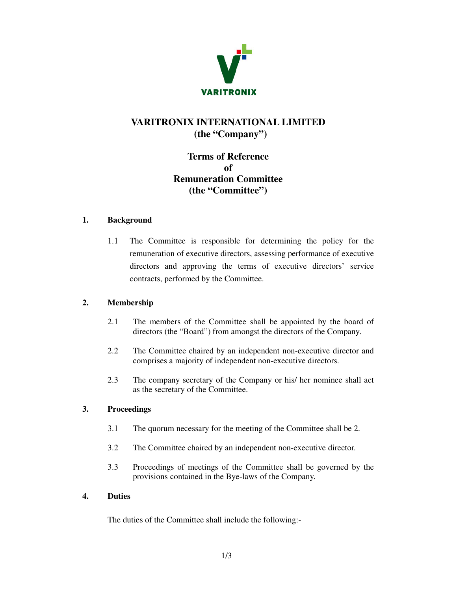

# **VARITRONIX INTERNATIONAL LIMITED (the "Company")**

## **Terms of Reference of Remuneration Committee (the "Committee")**

### **1. Background**

1.1 The Committee is responsible for determining the policy for the remuneration of executive directors, assessing performance of executive directors and approving the terms of executive directors' service contracts, performed by the Committee.

### **2. Membership**

- 2.1 The members of the Committee shall be appointed by the board of directors (the "Board") from amongst the directors of the Company.
- 2.2 The Committee chaired by an independent non-executive director and comprises a majority of independent non-executive directors.
- 2.3 The company secretary of the Company or his/ her nominee shall act as the secretary of the Committee.

### **3. Proceedings**

- 3.1 The quorum necessary for the meeting of the Committee shall be 2.
- 3.2 The Committee chaired by an independent non-executive director.
- 3.3 Proceedings of meetings of the Committee shall be governed by the provisions contained in the Bye-laws of the Company.

#### **4. Duties**

The duties of the Committee shall include the following:-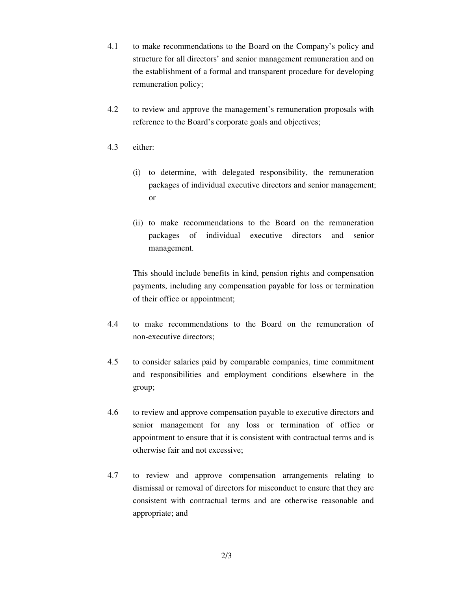- 4.1 to make recommendations to the Board on the Company's policy and structure for all directors' and senior management remuneration and on the establishment of a formal and transparent procedure for developing remuneration policy;
- 4.2 to review and approve the management's remuneration proposals with reference to the Board's corporate goals and objectives;
- 4.3 either:
	- (i) to determine, with delegated responsibility, the remuneration packages of individual executive directors and senior management; or
	- (ii) to make recommendations to the Board on the remuneration packages of individual executive directors and senior management.

This should include benefits in kind, pension rights and compensation payments, including any compensation payable for loss or termination of their office or appointment;

- 4.4 to make recommendations to the Board on the remuneration of non-executive directors;
- 4.5 to consider salaries paid by comparable companies, time commitment and responsibilities and employment conditions elsewhere in the group;
- 4.6 to review and approve compensation payable to executive directors and senior management for any loss or termination of office or appointment to ensure that it is consistent with contractual terms and is otherwise fair and not excessive;
- 4.7 to review and approve compensation arrangements relating to dismissal or removal of directors for misconduct to ensure that they are consistent with contractual terms and are otherwise reasonable and appropriate; and